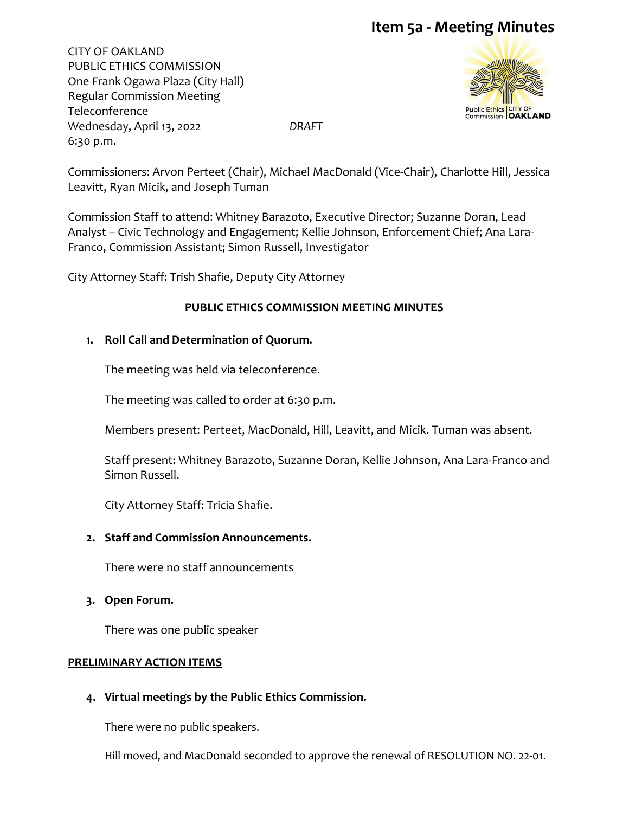CITY OF OAKLAND PUBLIC ETHICS COMMISSION One Frank Ogawa Plaza (City Hall) Regular Commission Meeting Teleconference Wednesday, April 13, 2022 *DRAFT* 6:30 p.m.



Commissioners: Arvon Perteet (Chair), Michael MacDonald (Vice-Chair), Charlotte Hill, Jessica Leavitt, Ryan Micik, and Joseph Tuman

Commission Staff to attend: Whitney Barazoto, Executive Director; Suzanne Doran, Lead Analyst – Civic Technology and Engagement; Kellie Johnson, Enforcement Chief; Ana Lara-Franco, Commission Assistant; Simon Russell, Investigator

City Attorney Staff: Trish Shafie, Deputy City Attorney

## **PUBLIC ETHICS COMMISSION MEETING MINUTES**

#### **1. Roll Call and Determination of Quorum.**

The meeting was held via teleconference.

The meeting was called to order at 6:30 p.m.

Members present: Perteet, MacDonald, Hill, Leavitt, and Micik. Tuman was absent.

Staff present: Whitney Barazoto, Suzanne Doran, Kellie Johnson, Ana Lara-Franco and Simon Russell.

City Attorney Staff: Tricia Shafie.

## **2. Staff and Commission Announcements.**

There were no staff announcements

#### **3. Open Forum.**

There was one public speaker

#### **PRELIMINARY ACTION ITEMS**

## **4. Virtual meetings by the Public Ethics Commission.**

There were no public speakers.

Hill moved, and MacDonald seconded to approve the renewal of RESOLUTION NO. 22-01.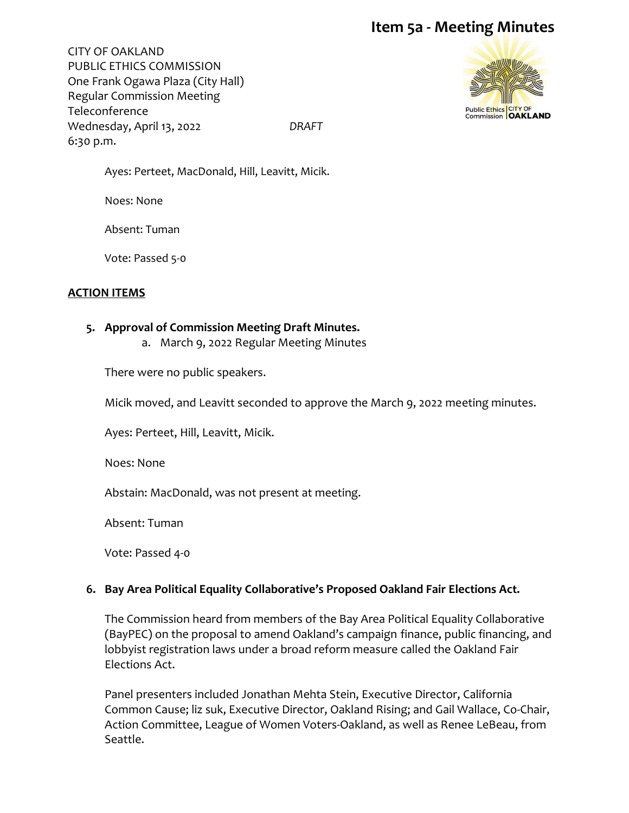CITY OF OAKLAND PUBLIC ETHICS COMMISSION One Frank Ogawa Plaza (City Hall) Regular Commission Meeting Teleconference Wednesday, April 13, 2022 *DRAFT* 6:30 p.m.



Ayes: Perteet, MacDonald, Hill, Leavitt, Micik.

Noes: None

Absent: Tuman

Vote: Passed 5-0

## **ACTION ITEMS**

## **5. Approval of Commission Meeting Draft Minutes.**

a. March 9, 2022 Regular Meeting Minutes

There were no public speakers.

Micik moved, and Leavitt seconded to approve the March 9, 2022 meeting minutes.

Ayes: Perteet, Hill, Leavitt, Micik.

Noes: None

Abstain: MacDonald, was not present at meeting.

Absent: Tuman

Vote: Passed 4-0

## **6. Bay Area Political Equality Collaborative's Proposed Oakland Fair Elections Act.**

The Commission heard from members of the Bay Area Political Equality Collaborative (BayPEC) on the proposal to amend Oakland's campaign finance, public financing, and lobbyist registration laws under a broad reform measure called the Oakland Fair Elections Act.

Panel presenters included Jonathan Mehta Stein, Executive Director, California Common Cause; liz suk, Executive Director, Oakland Rising; and Gail Wallace, Co-Chair, Action Committee, League of Women Voters-Oakland, as well as Renee LeBeau, from Seattle.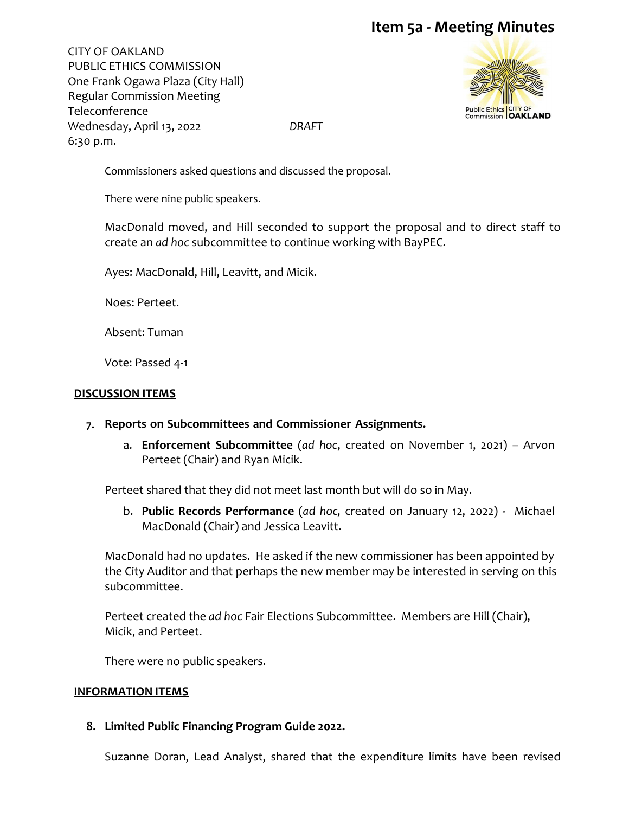CITY OF OAKLAND PUBLIC ETHICS COMMISSION One Frank Ogawa Plaza (City Hall) Regular Commission Meeting Teleconference Wednesday, April 13, 2022 *DRAFT* 6:30 p.m.



Commissioners asked questions and discussed the proposal.

There were nine public speakers.

MacDonald moved, and Hill seconded to support the proposal and to direct staff to create an *ad hoc* subcommittee to continue working with BayPEC.

Ayes: MacDonald, Hill, Leavitt, and Micik.

Noes: Perteet.

Absent: Tuman

Vote: Passed 4-1

#### **DISCUSSION ITEMS**

#### **7. Reports on Subcommittees and Commissioner Assignments.**

a. **Enforcement Subcommittee** (*ad hoc*, created on November 1, 2021) – Arvon Perteet (Chair) and Ryan Micik.

Perteet shared that they did not meet last month but will do so in May.

b. **Public Records Performance** (*ad hoc,* created on January 12, 2022) **-** Michael MacDonald (Chair) and Jessica Leavitt.

MacDonald had no updates. He asked if the new commissioner has been appointed by the City Auditor and that perhaps the new member may be interested in serving on this subcommittee.

Perteet created the *ad hoc* Fair Elections Subcommittee. Members are Hill (Chair), Micik, and Perteet.

There were no public speakers.

#### **INFORMATION ITEMS**

**8. Limited Public Financing Program Guide 2022.**

Suzanne Doran, Lead Analyst, shared that the expenditure limits have been revised